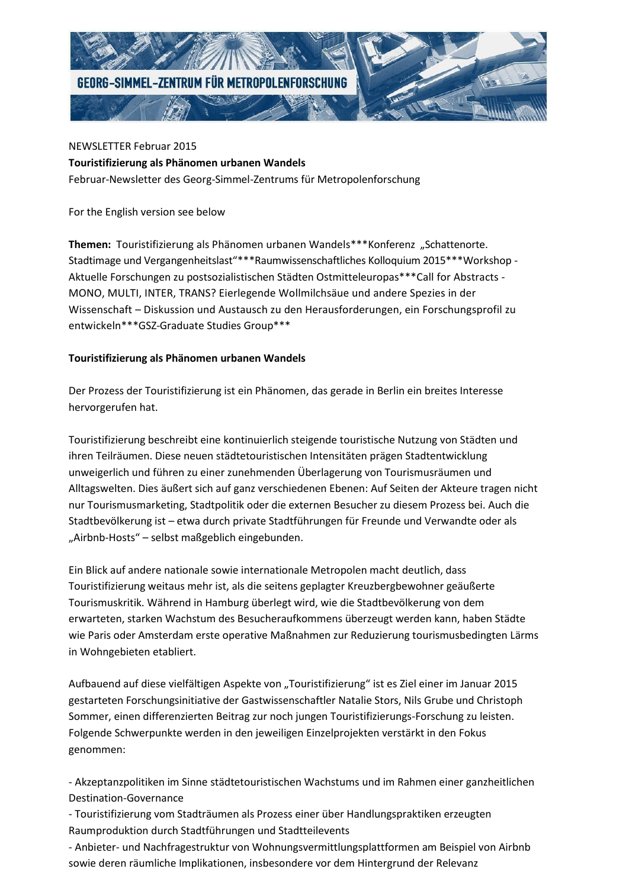

NEWSLETTER Februar 2015 **Touristifizierung als Phänomen urbanen Wandels** Februar-Newsletter des Georg-Simmel-Zentrums für Metropolenforschung

For the English version see below

**Themen:** Touristifizierung als Phänomen urbanen Wandels\*\*\*Konferenz "Schattenorte. Stadtimage und Vergangenheitslast"\*\*\*Raumwissenschaftliches Kolloquium 2015\*\*\*Workshop - Aktuelle Forschungen zu postsozialistischen Städten Ostmitteleuropas\*\*\*Call for Abstracts - MONO, MULTI, INTER, TRANS? Eierlegende Wollmilchsäue und andere Spezies in der Wissenschaft – Diskussion und Austausch zu den Herausforderungen, ein Forschungsprofil zu entwickeln\*\*\*GSZ-Graduate Studies Group\*\*\*

### **Touristifizierung als Phänomen urbanen Wandels**

Der Prozess der Touristifizierung ist ein Phänomen, das gerade in Berlin ein breites Interesse hervorgerufen hat.

Touristifizierung beschreibt eine kontinuierlich steigende touristische Nutzung von Städten und ihren Teilräumen. Diese neuen städtetouristischen Intensitäten prägen Stadtentwicklung unweigerlich und führen zu einer zunehmenden Überlagerung von Tourismusräumen und Alltagswelten. Dies äußert sich auf ganz verschiedenen Ebenen: Auf Seiten der Akteure tragen nicht nur Tourismusmarketing, Stadtpolitik oder die externen Besucher zu diesem Prozess bei. Auch die Stadtbevölkerung ist – etwa durch private Stadtführungen für Freunde und Verwandte oder als "Airbnb-Hosts" – selbst maßgeblich eingebunden.

Ein Blick auf andere nationale sowie internationale Metropolen macht deutlich, dass Touristifizierung weitaus mehr ist, als die seitens geplagter Kreuzbergbewohner geäußerte Tourismuskritik. Während in Hamburg überlegt wird, wie die Stadtbevölkerung von dem erwarteten, starken Wachstum des Besucheraufkommens überzeugt werden kann, haben Städte wie Paris oder Amsterdam erste operative Maßnahmen zur Reduzierung tourismusbedingten Lärms in Wohngebieten etabliert.

Aufbauend auf diese vielfältigen Aspekte von "Touristifizierung" ist es Ziel einer im Januar 2015 gestarteten Forschungsinitiative der Gastwissenschaftler Natalie Stors, Nils Grube und Christoph Sommer, einen differenzierten Beitrag zur noch jungen Touristifizierungs-Forschung zu leisten. Folgende Schwerpunkte werden in den jeweiligen Einzelprojekten verstärkt in den Fokus genommen:

- Akzeptanzpolitiken im Sinne städtetouristischen Wachstums und im Rahmen einer ganzheitlichen Destination-Governance

- Touristifizierung vom Stadträumen als Prozess einer über Handlungspraktiken erzeugten Raumproduktion durch Stadtführungen und Stadtteilevents

- Anbieter- und Nachfragestruktur von Wohnungsvermittlungsplattformen am Beispiel von Airbnb sowie deren räumliche Implikationen, insbesondere vor dem Hintergrund der Relevanz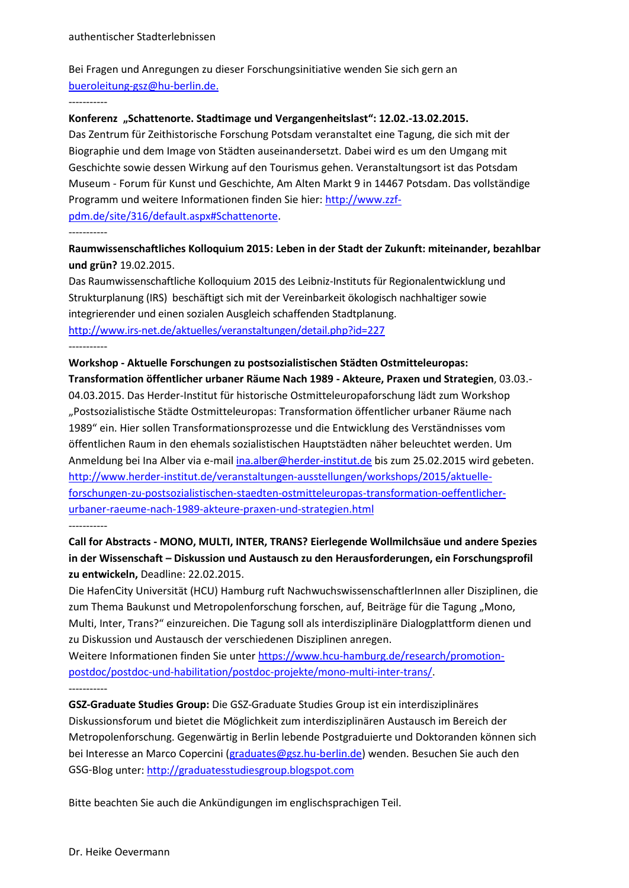Bei Fragen und Anregungen zu dieser Forschungsinitiative wenden Sie sich gern an [bueroleitung-gsz@hu-berlin.de.](mailto:bueroleitung-gsz@hu-berlin.de)

-----------

#### **Konferenz "Schattenorte. Stadtimage und Vergangenheitslast": 12.02.-13.02.2015.**

Das Zentrum für Zeithistorische Forschung Potsdam veranstaltet eine Tagung, die sich mit der Biographie und dem Image von Städten auseinandersetzt. Dabei wird es um den Umgang mit Geschichte sowie dessen Wirkung auf den Tourismus gehen. Veranstaltungsort ist das Potsdam Museum - Forum für Kunst und Geschichte, Am Alten Markt 9 in 14467 Potsdam. Das vollständige Programm und weitere Informationen finden Sie hier: [http://www.zzf](http://www.zzf-pdm.de/site/316/default.aspx#Schattenorte)[pdm.de/site/316/default.aspx#Schattenorte.](http://www.zzf-pdm.de/site/316/default.aspx#Schattenorte)

## -----------

## **Raumwissenschaftliches Kolloquium 2015: Leben in der Stadt der Zukunft: miteinander, bezahlbar und grün?** 19.02.2015.

Das Raumwissenschaftliche Kolloquium 2015 des Leibniz-Instituts für Regionalentwicklung und Strukturplanung (IRS) beschäftigt sich mit der Vereinbarkeit ökologisch nachhaltiger sowie integrierender und einen sozialen Ausgleich schaffenden Stadtplanung. <http://www.irs-net.de/aktuelles/veranstaltungen/detail.php?id=227> -----------

# **Workshop - Aktuelle Forschungen zu postsozialistischen Städten Ostmitteleuropas:**

**Transformation öffentlicher urbaner Räume Nach 1989 - Akteure, Praxen und Strategien**, 03.03.- 04.03.2015. Das Herder-Institut für historische Ostmitteleuropaforschung lädt zum Workshop

"Postsozialistische Städte Ostmitteleuropas: Transformation öffentlicher urbaner Räume nach 1989" ein. Hier sollen Transformationsprozesse und die Entwicklung des Verständnisses vom öffentlichen Raum in den ehemals sozialistischen Hauptstädten näher beleuchtet werden. Um Anmeldung bei Ina Alber via e-mai[l ina.alber@herder-institut.de](mailto:ina.alber@herder-institut.de) bis zum 25.02.2015 wird gebeten. [http://www.herder-institut.de/veranstaltungen-ausstellungen/workshops/2015/aktuelle](http://www.herder-institut.de/veranstaltungen-ausstellungen/workshops/2015/aktuelle-forschungen-zu-postsozialistischen-staedten-ostmitteleuropas-transformation-oeffentlicher-urbaner-raeume-nach-1989-akteure-praxen-und-strategien.html)[forschungen-zu-postsozialistischen-staedten-ostmitteleuropas-transformation-oeffentlicher](http://www.herder-institut.de/veranstaltungen-ausstellungen/workshops/2015/aktuelle-forschungen-zu-postsozialistischen-staedten-ostmitteleuropas-transformation-oeffentlicher-urbaner-raeume-nach-1989-akteure-praxen-und-strategien.html)[urbaner-raeume-nach-1989-akteure-praxen-und-strategien.html](http://www.herder-institut.de/veranstaltungen-ausstellungen/workshops/2015/aktuelle-forschungen-zu-postsozialistischen-staedten-ostmitteleuropas-transformation-oeffentlicher-urbaner-raeume-nach-1989-akteure-praxen-und-strategien.html)

-----------

# **Call for Abstracts - MONO, MULTI, INTER, TRANS? Eierlegende Wollmilchsäue und andere Spezies in der Wissenschaft – Diskussion und Austausch zu den Herausforderungen, ein Forschungsprofil zu entwickeln,** Deadline: 22.02.2015.

Die HafenCity Universität (HCU) Hamburg ruft NachwuchswissenschaftlerInnen aller Disziplinen, die zum Thema Baukunst und Metropolenforschung forschen, auf, Beiträge für die Tagung "Mono, Multi, Inter, Trans?" einzureichen. Die Tagung soll als interdisziplinäre Dialogplattform dienen und zu Diskussion und Austausch der verschiedenen Disziplinen anregen.

Weitere Informationen finden Sie unte[r https://www.hcu-hamburg.de/research/promotion](https://www.hcu-hamburg.de/research/promotion-postdoc/postdoc-und-habilitation/postdoc-projekte/mono-multi-inter-trans/)[postdoc/postdoc-und-habilitation/postdoc-projekte/mono-multi-inter-trans/.](https://www.hcu-hamburg.de/research/promotion-postdoc/postdoc-und-habilitation/postdoc-projekte/mono-multi-inter-trans/) -----------

**GSZ-Graduate Studies Group:** Die GSZ-Graduate Studies Group ist ein interdisziplinäres Diskussionsforum und bietet die Möglichkeit zum interdisziplinären Austausch im Bereich der Metropolenforschung. Gegenwärtig in Berlin lebende Postgraduierte und Doktoranden können sich bei Interesse an Marco Copercini [\(graduates@gsz.hu-berlin.de\)](mailto:graduates@gsz.hu-berlin.de) wenden. Besuchen Sie auch den GSG-Blog unter: [http://graduatesstudiesgroup.blogspot.com](http://graduatesstudiesgroup.blogspot.com/)

Bitte beachten Sie auch die Ankündigungen im englischsprachigen Teil.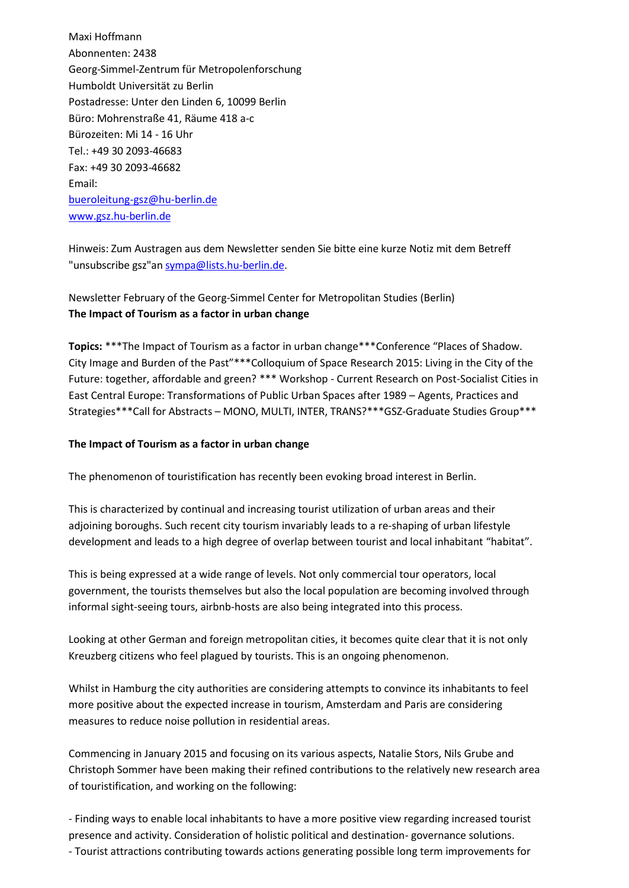Maxi Hoffmann Abonnenten: 2438 Georg-Simmel-Zentrum für Metropolenforschung Humboldt Universität zu Berlin Postadresse: Unter den Linden 6, 10099 Berlin Büro: Mohrenstraße 41, Räume 418 a-c Bürozeiten: Mi 14 - 16 Uhr Tel.: +49 30 2093-46683 Fax: +49 30 2093-46682 Email: [bueroleitung-gsz@hu-berlin.de](mailto:bueroleitung-gsz@hu-berlin.de) [www.gsz.hu-berlin.de](http://www.gsz.hu-berlin.de/)

Hinweis: Zum Austragen aus dem Newsletter senden Sie bitte eine kurze Notiz mit dem Betreff "unsubscribe gsz"a[n sympa@lists.hu-berlin.de.](mailto:sympa@lists.hu-berlin.de?subject=unsubscribe%20gsz)

Newsletter February of the Georg-Simmel Center for Metropolitan Studies (Berlin) **The Impact of Tourism as a factor in urban change**

**Topics:** \*\*\*The Impact of Tourism as a factor in urban change\*\*\*Conference "Places of Shadow. City Image and Burden of the Past"\*\*\*Colloquium of Space Research 2015: Living in the City of the Future: together, affordable and green? \*\*\* Workshop - Current Research on Post-Socialist Cities in East Central Europe: Transformations of Public Urban Spaces after 1989 – Agents, Practices and Strategies\*\*\*Call for Abstracts – MONO, MULTI, INTER, TRANS?\*\*\*GSZ-Graduate Studies Group\*\*\*

### **The Impact of Tourism as a factor in urban change**

The phenomenon of touristification has recently been evoking broad interest in Berlin.

This is characterized by continual and increasing tourist utilization of urban areas and their adjoining boroughs. Such recent city tourism invariably leads to a re-shaping of urban lifestyle development and leads to a high degree of overlap between tourist and local inhabitant "habitat".

This is being expressed at a wide range of levels. Not only commercial tour operators, local government, the tourists themselves but also the local population are becoming involved through informal sight-seeing tours, airbnb-hosts are also being integrated into this process.

Looking at other German and foreign metropolitan cities, it becomes quite clear that it is not only Kreuzberg citizens who feel plagued by tourists. This is an ongoing phenomenon.

Whilst in Hamburg the city authorities are considering attempts to convince its inhabitants to feel more positive about the expected increase in tourism, Amsterdam and Paris are considering measures to reduce noise pollution in residential areas.

Commencing in January 2015 and focusing on its various aspects, Natalie Stors, Nils Grube and Christoph Sommer have been making their refined contributions to the relatively new research area of touristification, and working on the following:

- Finding ways to enable local inhabitants to have a more positive view regarding increased tourist presence and activity. Consideration of holistic political and destination- governance solutions. - Tourist attractions contributing towards actions generating possible long term improvements for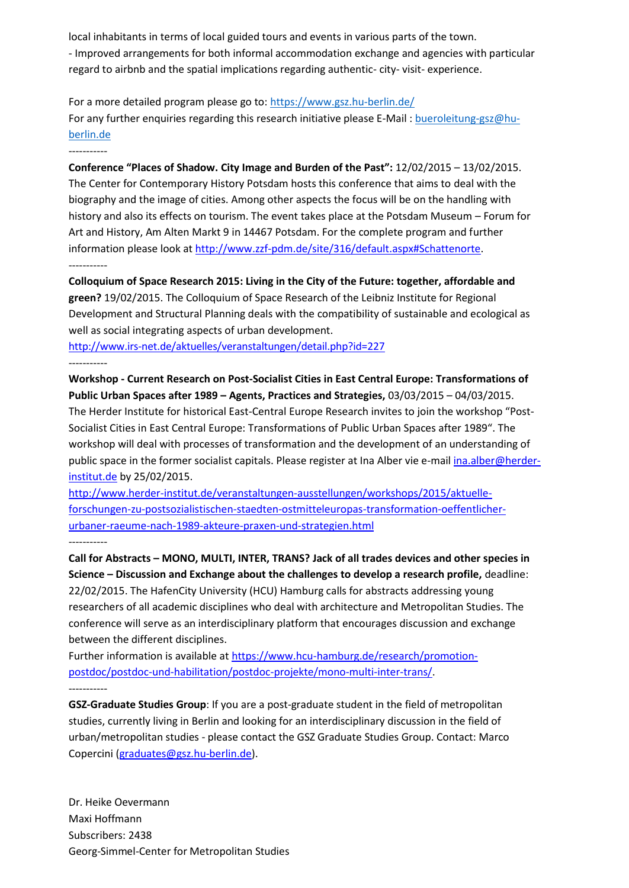local inhabitants in terms of local guided tours and events in various parts of the town. - Improved arrangements for both informal accommodation exchange and agencies with particular regard to airbnb and the spatial implications regarding authentic- city- visit- experience.

For a more detailed program please go to:<https://www.gsz.hu-berlin.de/> For any further enquiries regarding this research initiative please E-Mail : [bueroleitung-gsz@hu](mailto:bueroleitung-gsz@hu-berlin.de)[berlin.de](mailto:bueroleitung-gsz@hu-berlin.de)

----------- **Conference "Places of Shadow. City Image and Burden of the Past":** 12/02/2015 – 13/02/2015. The Center for Contemporary History Potsdam hosts this conference that aims to deal with the biography and the image of cities. Among other aspects the focus will be on the handling with history and also its effects on tourism. The event takes place at the Potsdam Museum – Forum for Art and History, Am Alten Markt 9 in 14467 Potsdam. For the complete program and further information please look at [http://www.zzf-pdm.de/site/316/default.aspx#Schattenorte.](http://www.zzf-pdm.de/site/316/default.aspx#Schattenorte) -----------

**Colloquium of Space Research 2015: Living in the City of the Future: together, affordable and green?** 19/02/2015. The Colloquium of Space Research of the Leibniz Institute for Regional Development and Structural Planning deals with the compatibility of sustainable and ecological as well as social integrating aspects of urban development.

<http://www.irs-net.de/aktuelles/veranstaltungen/detail.php?id=227> -----------

**Workshop - Current Research on Post-Socialist Cities in East Central Europe: Transformations of Public Urban Spaces after 1989 – Agents, Practices and Strategies,** 03/03/2015 – 04/03/2015. The Herder Institute for historical East-Central Europe Research invites to join the workshop "Post-Socialist Cities in East Central Europe: Transformations of Public Urban Spaces after 1989". The workshop will deal with processes of transformation and the development of an understanding of public space in the former socialist capitals. Please register at Ina Alber vie e-mai[l ina.alber@herder](mailto:ina.alber@herder-institut.de)[institut.de](mailto:ina.alber@herder-institut.de) by 25/02/2015.

[http://www.herder-institut.de/veranstaltungen-ausstellungen/workshops/2015/aktuelle](http://www.herder-institut.de/veranstaltungen-ausstellungen/workshops/2015/aktuelle-forschungen-zu-postsozialistischen-staedten-ostmitteleuropas-transformation-oeffentlicher-urbaner-raeume-nach-1989-akteure-praxen-und-strategien.html)[forschungen-zu-postsozialistischen-staedten-ostmitteleuropas-transformation-oeffentlicher](http://www.herder-institut.de/veranstaltungen-ausstellungen/workshops/2015/aktuelle-forschungen-zu-postsozialistischen-staedten-ostmitteleuropas-transformation-oeffentlicher-urbaner-raeume-nach-1989-akteure-praxen-und-strategien.html)[urbaner-raeume-nach-1989-akteure-praxen-und-strategien.html](http://www.herder-institut.de/veranstaltungen-ausstellungen/workshops/2015/aktuelle-forschungen-zu-postsozialistischen-staedten-ostmitteleuropas-transformation-oeffentlicher-urbaner-raeume-nach-1989-akteure-praxen-und-strategien.html) -----------

**Call for Abstracts – MONO, MULTI, INTER, TRANS? Jack of all trades devices and other species in Science – Discussion and Exchange about the challenges to develop a research profile,** deadline: 22/02/2015. The HafenCity University (HCU) Hamburg calls for abstracts addressing young researchers of all academic disciplines who deal with architecture and Metropolitan Studies. The conference will serve as an interdisciplinary platform that encourages discussion and exchange between the different disciplines.

Further information is available a[t https://www.hcu-hamburg.de/research/promotion](https://www.hcu-hamburg.de/research/promotion-postdoc/postdoc-und-habilitation/postdoc-projekte/mono-multi-inter-trans/)[postdoc/postdoc-und-habilitation/postdoc-projekte/mono-multi-inter-trans/.](https://www.hcu-hamburg.de/research/promotion-postdoc/postdoc-und-habilitation/postdoc-projekte/mono-multi-inter-trans/) -----------

**GSZ-Graduate Studies Group**: If you are a post-graduate student in the field of metropolitan studies, currently living in Berlin and looking for an interdisciplinary discussion in the field of urban/metropolitan studies - please contact the GSZ Graduate Studies Group. Contact: Marco Copercini [\(graduates@gsz.hu-berlin.de\)](mailto:graduates@gsz.hu-berlin.de).

Dr. Heike Oevermann Maxi Hoffmann Subscribers: 2438 Georg-Simmel-Center for Metropolitan Studies